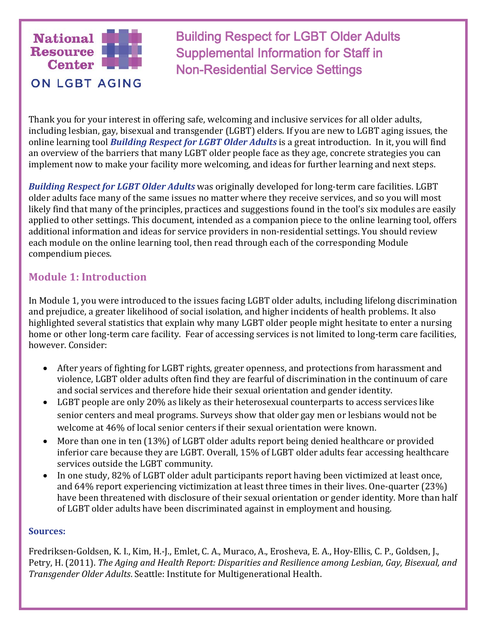

Building Respect for LGBT Older Adults Supplemental Information for Staff in Non-Residential Service Settings

Thank you for your interest in offering safe, welcoming and inclusive services for all older adults, including lesbian, gay, bisexual and transgender (LGBT) elders. If you are new to LGBT aging issues, the online learning tool *Building Respect for LGBT Older Adults* is a great introduction. In it, you will find an overview of the barriers that many LGBT older people face as they age, concrete strategies you can implement now to make your facility more welcoming, and ideas for further learning and next steps.

*Building Respect for LGBT Older Adults* was originally developed for long-term care facilities. LGBT older adults face many of the same issues no matter where they receive services, and so you will most likely find that many of the principles, practices and suggestions found in the tool's six modules are easily applied to other settings. This document, intended as a companion piece to the online learning tool, offers additional information and ideas for service providers in non-residential settings. You should review each module on the online learning tool, then read through each of the corresponding Module compendium pieces.

### **Module 1: Introduction**

In Module 1, you were introduced to the issues facing LGBT older adults, including lifelong discrimination and prejudice, a greater likelihood of social isolation, and higher incidents of health problems. It also highlighted several statistics that explain why many LGBT older people might hesitate to enter a nursing home or other long-term care facility. Fear of accessing services is not limited to long-term care facilities, however. Consider:

- After years of fighting for LGBT rights, greater openness, and protections from harassment and violence, LGBT older adults often find they are fearful of discrimination in the continuum of care and social services and therefore hide their sexual orientation and gender identity.
- LGBT people are only 20% as likely as their heterosexual counterparts to access services like senior centers and meal programs. Surveys show that older gay men or lesbians would not be welcome at 46% of local senior centers if their sexual orientation were known.
- More than one in ten (13%) of LGBT older adults report being denied healthcare or provided inferior care because they are LGBT. Overall, 15% of LGBT older adults fear accessing healthcare services outside the LGBT community.
- In one study, 82% of LGBT older adult participants report having been victimized at least once, and 64% report experiencing victimization at least three times in their lives. One-quarter (23%) have been threatened with disclosure of their sexual orientation or gender identity. More than half of LGBT older adults have been discriminated against in employment and housing.

#### **Sources:**

Fredriksen-Goldsen, K. I., Kim, H.-J., Emlet, C. A., Muraco, A., Erosheva, E. A., Hoy-Ellis, C. P., Goldsen, J., Petry, H. (2011). *The Aging and Health Report: Disparities and Resilience among Lesbian, Gay, Bisexual, and Transgender Older Adults*. Seattle: Institute for Multigenerational Health.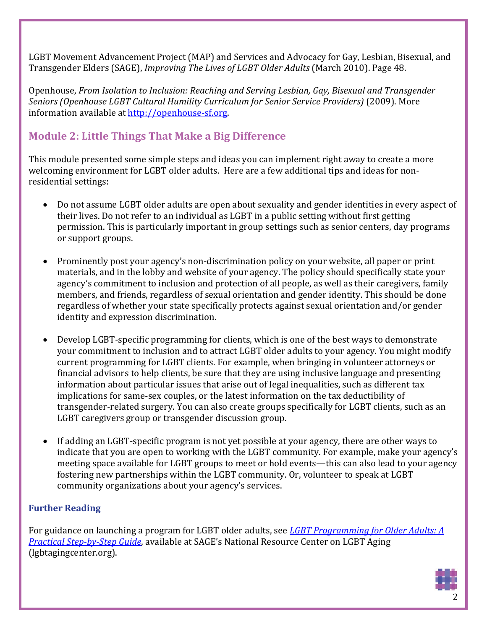LGBT Movement Advancement Project (MAP) and Services and Advocacy for Gay, Lesbian, Bisexual, and Transgender Elders (SAGE), *Improving The Lives of LGBT Older Adults* (March 2010). Page 48.

Openhouse, *From Isolation to Inclusion: Reaching and Serving Lesbian, Gay, Bisexual and Transgender Seniors (Openhouse LGBT Cultural Humility Curriculum for Senior Service Providers)* (2009). More information available at [http://openhouse-sf.org.](http://openhouse-sf.org/)

# **Module 2: Little Things That Make a Big Difference**

This module presented some simple steps and ideas you can implement right away to create a more welcoming environment for LGBT older adults. Here are a few additional tips and ideas for nonresidential settings:

- Do not assume LGBT older adults are open about sexuality and gender identities in every aspect of their lives. Do not refer to an individual as LGBT in a public setting without first getting permission. This is particularly important in group settings such as senior centers, day programs or support groups.
- Prominently post your agency's non-discrimination policy on your website, all paper or print materials, and in the lobby and website of your agency. The policy should specifically state your agency's commitment to inclusion and protection of all people, as well as their caregivers, family members, and friends, regardless of sexual orientation and gender identity. This should be done regardless of whether your state specifically protects against sexual orientation and/or gender identity and expression discrimination.
- Develop LGBT-specific programming for clients, which is one of the best ways to demonstrate your commitment to inclusion and to attract LGBT older adults to your agency. You might modify current programming for LGBT clients. For example, when bringing in volunteer attorneys or financial advisors to help clients, be sure that they are using inclusive language and presenting information about particular issues that arise out of legal inequalities, such as different tax implications for same-sex couples, or the latest information on the tax deductibility of transgender-related surgery. You can also create groups specifically for LGBT clients, such as an LGBT caregivers group or transgender discussion group.
- If adding an LGBT-specific program is not yet possible at your agency, there are other ways to indicate that you are open to working with the LGBT community. For example, make your agency's meeting space available for LGBT groups to meet or hold events—this can also lead to your agency fostering new partnerships within the LGBT community. Or, volunteer to speak at LGBT community organizations about your agency's services.

### **Further Reading**

For guidance on launching a program for LGBT older adults, see *[LGBT Programming for Older Adults: A](http://www.lgbtagingcenter.org/resources/resource.cfm?r=705)  [Practical Step-by-Step Guide](http://www.lgbtagingcenter.org/resources/resource.cfm?r=705)*, available at SAGE's National Resource Center on LGBT Aging (lgbtagingcenter.org).

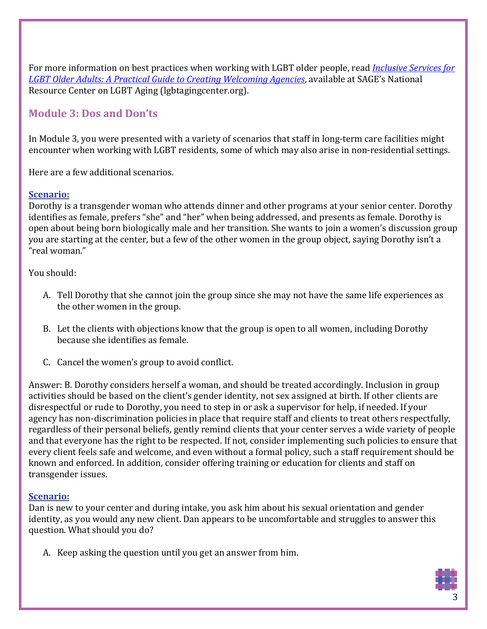For more information on best practices when working with LGBT older people, read *[Inclusive Services for](http://www.lgbtagingcenter.org/resources/resource.cfm?r=487)  [LGBT Older Adults: A Practical Guide to Creating Welcoming Agencies](http://www.lgbtagingcenter.org/resources/resource.cfm?r=487)*, available at SAGE's National Resource Center on LGBT Aging (lgbtagingcenter.org).

### **Module 3: Dos and Don'ts**

In Module 3, you were presented with a variety of scenarios that staff in long-term care facilities might encounter when working with LGBT residents, some of which may also arise in non-residential settings.

Here are a few additional scenarios.

#### **Scenario:**

Dorothy is a transgender woman who attends dinner and other programs at your senior center. Dorothy identifies as female, prefers "she" and "her" when being addressed, and presents as female. Dorothy is open about being born biologically male and her transition. She wants to join a women's discussion group you are starting at the center, but a few of the other women in the group object, saying Dorothy isn't a "real woman."

You should:

- A. Tell Dorothy that she cannot join the group since she may not have the same life experiences as the other women in the group.
- B. Let the clients with objections know that the group is open to all women, including Dorothy because she identifies as female.
- C. Cancel the women's group to avoid conflict.

Answer: B. Dorothy considers herself a woman, and should be treated accordingly. Inclusion in group activities should be based on the client's gender identity, not sex assigned at birth. If other clients are disrespectful or rude to Dorothy, you need to step in or ask a supervisor for help, if needed. If your agency has non-discrimination policies in place that require staff and clients to treat others respectfully, regardless of their personal beliefs, gently remind clients that your center serves a wide variety of people and that everyone has the right to be respected. If not, consider implementing such policies to ensure that every client feels safe and welcome, and even without a formal policy, such a staff requirement should be known and enforced. In addition, consider offering training or education for clients and staff on transgender issues.

#### **Scenario:**

Dan is new to your center and during intake, you ask him about his sexual orientation and gender identity, as you would any new client. Dan appears to be uncomfortable and struggles to answer this question. What should you do?

A. Keep asking the question until you get an answer from him.

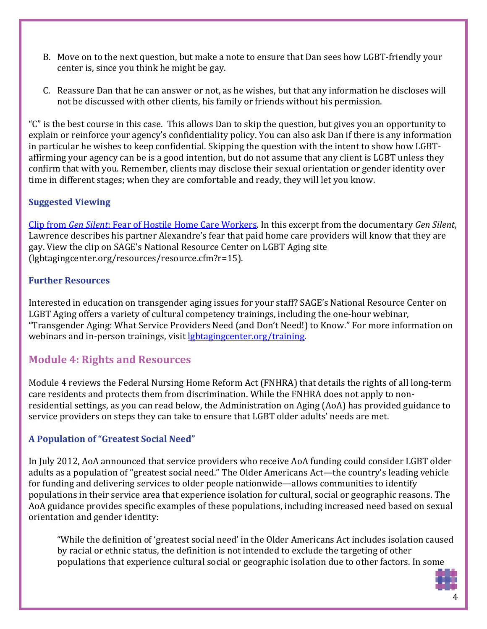- B. Move on to the next question, but make a note to ensure that Dan sees how LGBT-friendly your center is, since you think he might be gay.
- C. Reassure Dan that he can answer or not, as he wishes, but that any information he discloses will not be discussed with other clients, his family or friends without his permission.

"C" is the best course in this case. This allows Dan to skip the question, but gives you an opportunity to explain or reinforce your agency's confidentiality policy. You can also ask Dan if there is any information in particular he wishes to keep confidential. Skipping the question with the intent to show how LGBTaffirming your agency can be is a good intention, but do not assume that any client is LGBT unless they confirm that with you. Remember, clients may disclose their sexual orientation or gender identity over time in different stages; when they are comfortable and ready, they will let you know.

### **Suggested Viewing**

Clip from *Gen Silent*[: Fear of Hostile Home Care Workers.](http://www.lgbtagingcenter.org/resources/resource.cfm?r=15) In this excerpt from the documentary *Gen Silent*, Lawrence describes his partner Alexandre's fear that paid home care providers will know that they are gay. View the clip on SAGE's National Resource Center on LGBT Aging site (lgbtagingcenter.org/resources/resource.cfm?r=15).

#### **Further Resources**

Interested in education on transgender aging issues for your staff? SAGE's National Resource Center on LGBT Aging offers a variety of cultural competency trainings, including the one-hour webinar, "Transgender Aging: What Service Providers Need (and Don't Need!) to Know." For more information on webinars and in-person trainings, visit *lgbtagingcenter.org/training*.

# **Module 4: Rights and Resources**

Module 4 reviews the Federal Nursing Home Reform Act (FNHRA) that details the rights of all long-term care residents and protects them from discrimination. While the FNHRA does not apply to nonresidential settings, as you can read below, the Administration on Aging (AoA) has provided guidance to service providers on steps they can take to ensure that LGBT older adults' needs are met.

### **A Population of "Greatest Social Need"**

In July 2012, AoA announced that service providers who receive AoA funding could consider LGBT older adults as a population of "greatest social need." The Older Americans Act—the country's leading vehicle for funding and delivering services to older people nationwide—allows communities to identify populations in their service area that experience isolation for cultural, social or geographic reasons. The AoA guidance provides specific examples of these populations, including increased need based on sexual orientation and gender identity:

"While the definition of 'greatest social need' in the Older Americans Act includes isolation caused by racial or ethnic status, the definition is not intended to exclude the targeting of other populations that experience cultural social or geographic isolation due to other factors. In some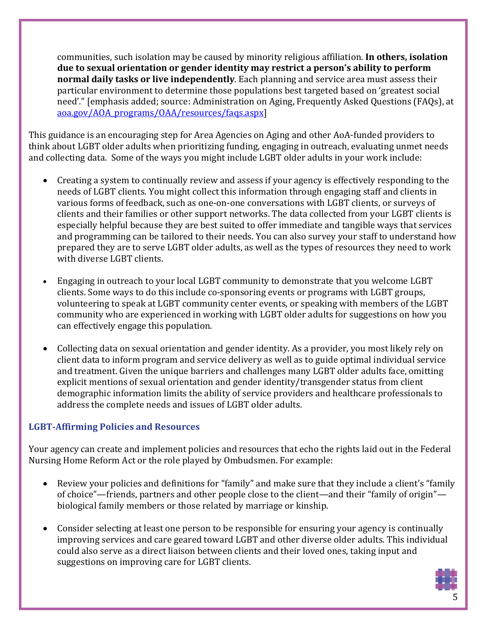communities, such isolation may be caused by minority religious affiliation. **In others, isolation due to sexual orientation or gender identity may restrict a person's ability to perform normal daily tasks or live independently**. Each planning and service area must assess their particular environment to determine those populations best targeted based on 'greatest social need'." [emphasis added; source: Administration on Aging, Frequently Asked Questions (FAQs), at [aoa.gov/AOA\\_programs/OAA/resources/faqs.aspx\]](http://www.aoa.gov/AOA_programs/OAA/resources/faqs.aspx)

This guidance is an encouraging step for Area Agencies on Aging and other AoA-funded providers to think about LGBT older adults when prioritizing funding, engaging in outreach, evaluating unmet needs and collecting data. Some of the ways you might include LGBT older adults in your work include:

- Creating a system to continually review and assess if your agency is effectively responding to the needs of LGBT clients. You might collect this information through engaging staff and clients in various forms of feedback, such as one-on-one conversations with LGBT clients, or surveys of clients and their families or other support networks. The data collected from your LGBT clients is especially helpful because they are best suited to offer immediate and tangible ways that services and programming can be tailored to their needs. You can also survey your staff to understand how prepared they are to serve LGBT older adults, as well as the types of resources they need to work with diverse LGBT clients.
- Engaging in outreach to your local LGBT community to demonstrate that you welcome LGBT clients. Some ways to do this include co-sponsoring events or programs with LGBT groups, volunteering to speak at LGBT community center events, or speaking with members of the LGBT community who are experienced in working with LGBT older adults for suggestions on how you can effectively engage this population.
- Collecting data on sexual orientation and gender identity. As a provider, you most likely rely on client data to inform program and service delivery as well as to guide optimal individual service and treatment. Given the unique barriers and challenges many LGBT older adults face, omitting explicit mentions of sexual orientation and gender identity/transgender status from client demographic information limits the ability of service providers and healthcare professionals to address the complete needs and issues of LGBT older adults.

#### **LGBT-Affirming Policies and Resources**

Your agency can create and implement policies and resources that echo the rights laid out in the Federal Nursing Home Reform Act or the role played by Ombudsmen. For example:

- Review your policies and definitions for "family" and make sure that they include a client's "family of choice"—friends, partners and other people close to the client—and their "family of origin" biological family members or those related by marriage or kinship.
- Consider selecting at least one person to be responsible for ensuring your agency is continually improving services and care geared toward LGBT and other diverse older adults. This individual could also serve as a direct liaison between clients and their loved ones, taking input and suggestions on improving care for LGBT clients.

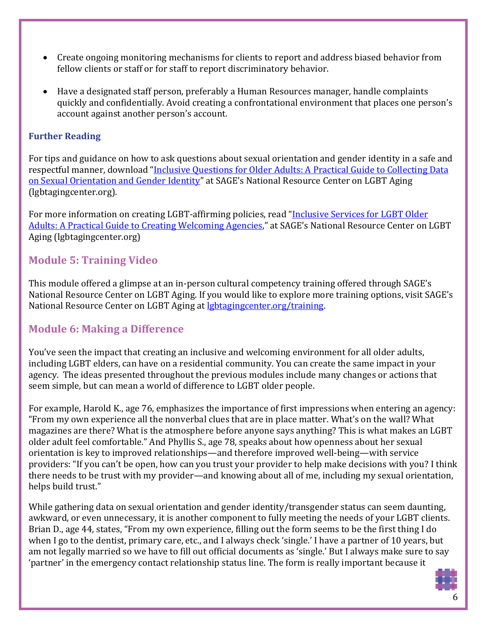- Create ongoing monitoring mechanisms for clients to report and address biased behavior from fellow clients or staff or for staff to report discriminatory behavior.
- Have a designated staff person, preferably a Human Resources manager, handle complaints quickly and confidentially. Avoid creating a confrontational environment that places one person's account against another person's account.

### **Further Reading**

For tips and guidance on how to ask questions about sexual orientation and gender identity in a safe and respectful manner, download ["Inclusive Questions for Older Adults: A Practical Guide to Collecting Data](http://www.lgbtagingcenter.org/resources/resource.cfm?r=601)  [on Sexual Orientation and Gender Identity"](http://www.lgbtagingcenter.org/resources/resource.cfm?r=601) at SAGE's National Resource Center on LGBT Aging (lgbtagingcenter.org).

For more information on creating LGBT-affirming policies, read ["Inclusive Services for LGBT Older](http://www.lgbtagingcenter.org/resources/resource.cfm?r=487)  [Adults: A Practical Guide to Creating Welcoming Agencies,](http://www.lgbtagingcenter.org/resources/resource.cfm?r=487)" at SAGE's National Resource Center on LGBT Aging (lgbtagingcenter.org)

# **Module 5: Training Video**

This module offered a glimpse at an in-person cultural competency training offered through SAGE's National Resource Center on LGBT Aging. If you would like to explore more training options, visit SAGE's National Resource Center on LGBT Aging at [lgbtagingcenter.org/training.](http://lgbtagingcenter.org/training/)

# **Module 6: Making a Difference**

You've seen the impact that creating an inclusive and welcoming environment for all older adults, including LGBT elders, can have on a residential community. You can create the same impact in your agency. The ideas presented throughout the previous modules include many changes or actions that seem simple, but can mean a world of difference to LGBT older people.

For example, Harold K., age 76, emphasizes the importance of first impressions when entering an agency: "From my own experience all the nonverbal clues that are in place matter. What's on the wall? What magazines are there? What is the atmosphere before anyone says anything? This is what makes an LGBT older adult feel comfortable." And Phyllis S., age 78, speaks about how openness about her sexual orientation is key to improved relationships—and therefore improved well-being—with service providers: "If you can't be open, how can you trust your provider to help make decisions with you? I think there needs to be trust with my provider—and knowing about all of me, including my sexual orientation, helps build trust."

While gathering data on sexual orientation and gender identity/transgender status can seem daunting, awkward, or even unnecessary, it is another component to fully meeting the needs of your LGBT clients. Brian D., age 44, states, "From my own experience, filling out the form seems to be the first thing I do when I go to the dentist, primary care, etc., and I always check 'single.' I have a partner of 10 years, but am not legally married so we have to fill out official documents as 'single.' But I always make sure to say 'partner' in the emergency contact relationship status line. The form is really important because it